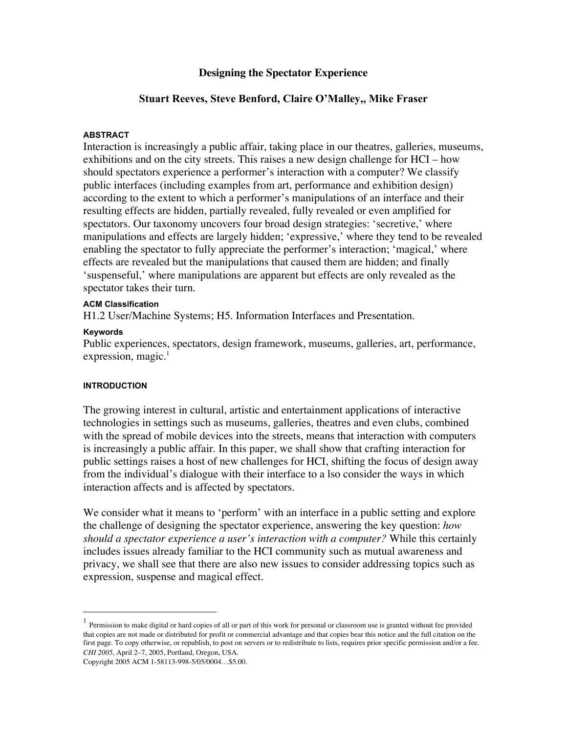# **Designing the Spectator Experience**

# **Stuart Reeves, Steve Benford, Claire O'Malley,, Mike Fraser**

# **ABSTRACT**

Interaction is increasingly a public affair, taking place in our theatres, galleries, museums, exhibitions and on the city streets. This raises a new design challenge for HCI – how should spectators experience a performer's interaction with a computer? We classify public interfaces (including examples from art, performance and exhibition design) according to the extent to which a performer's manipulations of an interface and their resulting effects are hidden, partially revealed, fully revealed or even amplified for spectators. Our taxonomy uncovers four broad design strategies: 'secretive,' where manipulations and effects are largely hidden; 'expressive,' where they tend to be revealed enabling the spectator to fully appreciate the performer's interaction; 'magical,' where effects are revealed but the manipulations that caused them are hidden; and finally 'suspenseful,' where manipulations are apparent but effects are only revealed as the spectator takes their turn.

# **ACM Classification**

H1.2 User/Machine Systems; H5. Information Interfaces and Presentation.

# **Keywords**

 $\overline{a}$ 

Public experiences, spectators, design framework, museums, galleries, art, performance, expression, magic. $<sup>1</sup>$ </sup>

# **INTRODUCTION**

The growing interest in cultural, artistic and entertainment applications of interactive technologies in settings such as museums, galleries, theatres and even clubs, combined with the spread of mobile devices into the streets, means that interaction with computers is increasingly a public affair. In this paper, we shall show that crafting interaction for public settings raises a host of new challenges for HCI, shifting the focus of design away from the individual's dialogue with their interface to a lso consider the ways in which interaction affects and is affected by spectators.

We consider what it means to 'perform' with an interface in a public setting and explore the challenge of designing the spectator experience, answering the key question: *how should a spectator experience a user's interaction with a computer?* While this certainly includes issues already familiar to the HCI community such as mutual awareness and privacy, we shall see that there are also new issues to consider addressing topics such as expression, suspense and magical effect.

 $<sup>1</sup>$  Permission to make digital or hard copies of all or part of this work for personal or classroom use is granted without fee provided</sup> that copies are not made or distributed for profit or commercial advantage and that copies bear this notice and the full citation on the first page. To copy otherwise, or republish, to post on servers or to redistribute to lists, requires prior specific permission and/or a fee. *CHI 2005*, April 2–7, 2005, Portland, Oregon, USA.

Copyright 2005 ACM 1-58113-998-5/05/0004…\$5.00.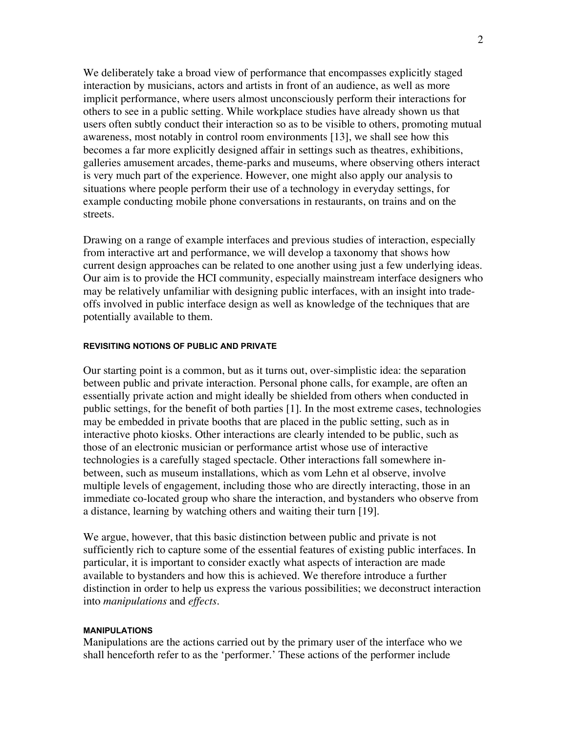We deliberately take a broad view of performance that encompasses explicitly staged interaction by musicians, actors and artists in front of an audience, as well as more implicit performance, where users almost unconsciously perform their interactions for others to see in a public setting. While workplace studies have already shown us that users often subtly conduct their interaction so as to be visible to others, promoting mutual awareness, most notably in control room environments [13], we shall see how this becomes a far more explicitly designed affair in settings such as theatres, exhibitions, galleries amusement arcades, theme-parks and museums, where observing others interact is very much part of the experience. However, one might also apply our analysis to situations where people perform their use of a technology in everyday settings, for example conducting mobile phone conversations in restaurants, on trains and on the streets.

Drawing on a range of example interfaces and previous studies of interaction, especially from interactive art and performance, we will develop a taxonomy that shows how current design approaches can be related to one another using just a few underlying ideas. Our aim is to provide the HCI community, especially mainstream interface designers who may be relatively unfamiliar with designing public interfaces, with an insight into tradeoffs involved in public interface design as well as knowledge of the techniques that are potentially available to them.

# **REVISITING NOTIONS OF PUBLIC AND PRIVATE**

Our starting point is a common, but as it turns out, over-simplistic idea: the separation between public and private interaction. Personal phone calls, for example, are often an essentially private action and might ideally be shielded from others when conducted in public settings, for the benefit of both parties [1]. In the most extreme cases, technologies may be embedded in private booths that are placed in the public setting, such as in interactive photo kiosks. Other interactions are clearly intended to be public, such as those of an electronic musician or performance artist whose use of interactive technologies is a carefully staged spectacle. Other interactions fall somewhere inbetween, such as museum installations, which as vom Lehn et al observe, involve multiple levels of engagement, including those who are directly interacting, those in an immediate co-located group who share the interaction, and bystanders who observe from a distance, learning by watching others and waiting their turn [19].

We argue, however, that this basic distinction between public and private is not sufficiently rich to capture some of the essential features of existing public interfaces. In particular, it is important to consider exactly what aspects of interaction are made available to bystanders and how this is achieved. We therefore introduce a further distinction in order to help us express the various possibilities; we deconstruct interaction into *manipulations* and *effects*.

#### **MANIPULATIONS**

Manipulations are the actions carried out by the primary user of the interface who we shall henceforth refer to as the 'performer.' These actions of the performer include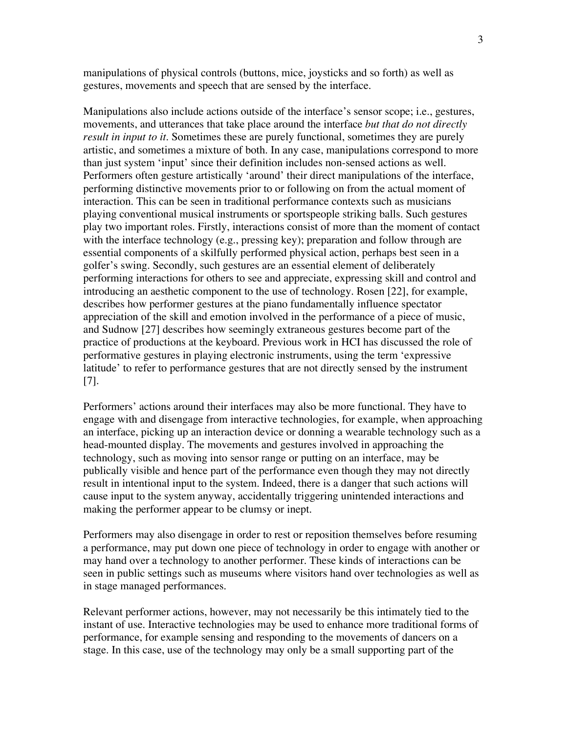manipulations of physical controls (buttons, mice, joysticks and so forth) as well as gestures, movements and speech that are sensed by the interface.

Manipulations also include actions outside of the interface's sensor scope; i.e., gestures, movements, and utterances that take place around the interface *but that do not directly result in input to it*. Sometimes these are purely functional, sometimes they are purely artistic, and sometimes a mixture of both. In any case, manipulations correspond to more than just system 'input' since their definition includes non-sensed actions as well. Performers often gesture artistically 'around' their direct manipulations of the interface, performing distinctive movements prior to or following on from the actual moment of interaction. This can be seen in traditional performance contexts such as musicians playing conventional musical instruments or sportspeople striking balls. Such gestures play two important roles. Firstly, interactions consist of more than the moment of contact with the interface technology (e.g., pressing key); preparation and follow through are essential components of a skilfully performed physical action, perhaps best seen in a golfer's swing. Secondly, such gestures are an essential element of deliberately performing interactions for others to see and appreciate, expressing skill and control and introducing an aesthetic component to the use of technology. Rosen [22], for example, describes how performer gestures at the piano fundamentally influence spectator appreciation of the skill and emotion involved in the performance of a piece of music, and Sudnow [27] describes how seemingly extraneous gestures become part of the practice of productions at the keyboard. Previous work in HCI has discussed the role of performative gestures in playing electronic instruments, using the term 'expressive latitude' to refer to performance gestures that are not directly sensed by the instrument [7].

Performers' actions around their interfaces may also be more functional. They have to engage with and disengage from interactive technologies, for example, when approaching an interface, picking up an interaction device or donning a wearable technology such as a head-mounted display. The movements and gestures involved in approaching the technology, such as moving into sensor range or putting on an interface, may be publically visible and hence part of the performance even though they may not directly result in intentional input to the system. Indeed, there is a danger that such actions will cause input to the system anyway, accidentally triggering unintended interactions and making the performer appear to be clumsy or inept.

Performers may also disengage in order to rest or reposition themselves before resuming a performance, may put down one piece of technology in order to engage with another or may hand over a technology to another performer. These kinds of interactions can be seen in public settings such as museums where visitors hand over technologies as well as in stage managed performances.

Relevant performer actions, however, may not necessarily be this intimately tied to the instant of use. Interactive technologies may be used to enhance more traditional forms of performance, for example sensing and responding to the movements of dancers on a stage. In this case, use of the technology may only be a small supporting part of the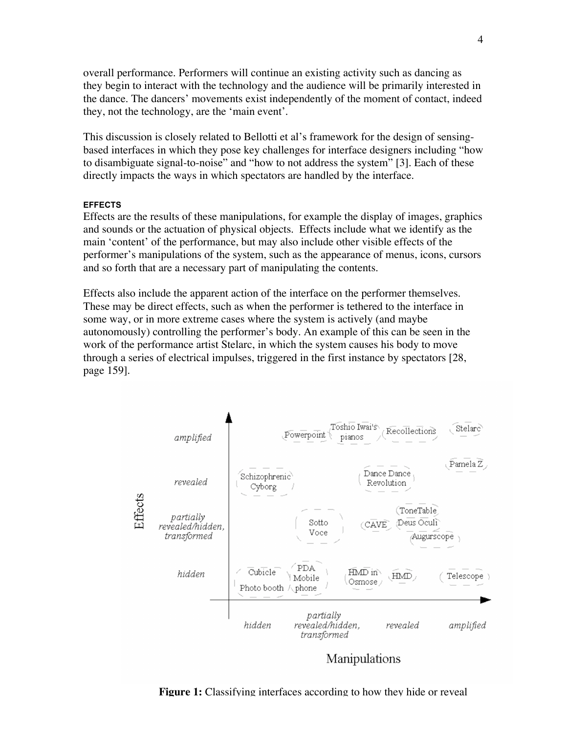overall performance. Performers will continue an existing activity such as dancing as they begin to interact with the technology and the audience will be primarily interested in the dance. The dancers' movements exist independently of the moment of contact, indeed they, not the technology, are the 'main event'.

This discussion is closely related to Bellotti et al's framework for the design of sensingbased interfaces in which they pose key challenges for interface designers including "how to disambiguate signal-to-noise" and "how to not address the system" [3]. Each of these directly impacts the ways in which spectators are handled by the interface.

### **EFFECTS**

Effects are the results of these manipulations, for example the display of images, graphics and sounds or the actuation of physical objects. Effects include what we identify as the main 'content' of the performance, but may also include other visible effects of the performer's manipulations of the system, such as the appearance of menus, icons, cursors and so forth that are a necessary part of manipulating the contents.

Effects also include the apparent action of the interface on the performer themselves. These may be direct effects, such as when the performer is tethered to the interface in some way, or in more extreme cases where the system is actively (and maybe autonomously) controlling the performer's body. An example of this can be seen in the work of the performance artist Stelarc, in which the system causes his body to move through a series of electrical impulses, triggered in the first instance by spectators [28, page 159].



**Figure 1:** Classifying interfaces according to how they hide or reveal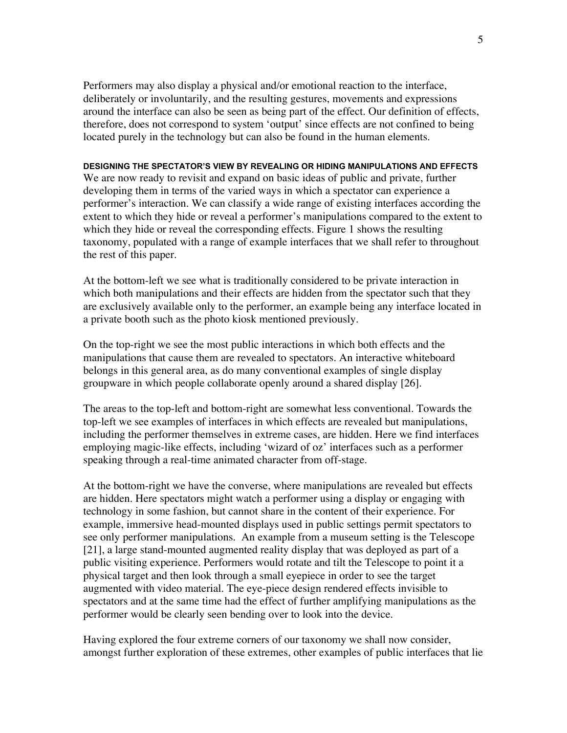Performers may also display a physical and/or emotional reaction to the interface, deliberately or involuntarily, and the resulting gestures, movements and expressions around the interface can also be seen as being part of the effect. Our definition of effects, therefore, does not correspond to system 'output' since effects are not confined to being located purely in the technology but can also be found in the human elements.

# **DESIGNING THE SPECTATOR'S VIEW BY REVEALING OR HIDING MANIPULATIONS AND EFFECTS**

We are now ready to revisit and expand on basic ideas of public and private, further developing them in terms of the varied ways in which a spectator can experience a performer's interaction. We can classify a wide range of existing interfaces according the extent to which they hide or reveal a performer's manipulations compared to the extent to which they hide or reveal the corresponding effects. Figure 1 shows the resulting taxonomy, populated with a range of example interfaces that we shall refer to throughout the rest of this paper.

At the bottom-left we see what is traditionally considered to be private interaction in which both manipulations and their effects are hidden from the spectator such that they are exclusively available only to the performer, an example being any interface located in a private booth such as the photo kiosk mentioned previously.

On the top-right we see the most public interactions in which both effects and the manipulations that cause them are revealed to spectators. An interactive whiteboard belongs in this general area, as do many conventional examples of single display groupware in which people collaborate openly around a shared display [26].

The areas to the top-left and bottom-right are somewhat less conventional. Towards the top-left we see examples of interfaces in which effects are revealed but manipulations, including the performer themselves in extreme cases, are hidden. Here we find interfaces employing magic-like effects, including 'wizard of oz' interfaces such as a performer speaking through a real-time animated character from off-stage.

At the bottom-right we have the converse, where manipulations are revealed but effects are hidden. Here spectators might watch a performer using a display or engaging with technology in some fashion, but cannot share in the content of their experience. For example, immersive head-mounted displays used in public settings permit spectators to see only performer manipulations. An example from a museum setting is the Telescope [21], a large stand-mounted augmented reality display that was deployed as part of a public visiting experience. Performers would rotate and tilt the Telescope to point it a physical target and then look through a small eyepiece in order to see the target augmented with video material. The eye-piece design rendered effects invisible to spectators and at the same time had the effect of further amplifying manipulations as the performer would be clearly seen bending over to look into the device.

Having explored the four extreme corners of our taxonomy we shall now consider, amongst further exploration of these extremes, other examples of public interfaces that lie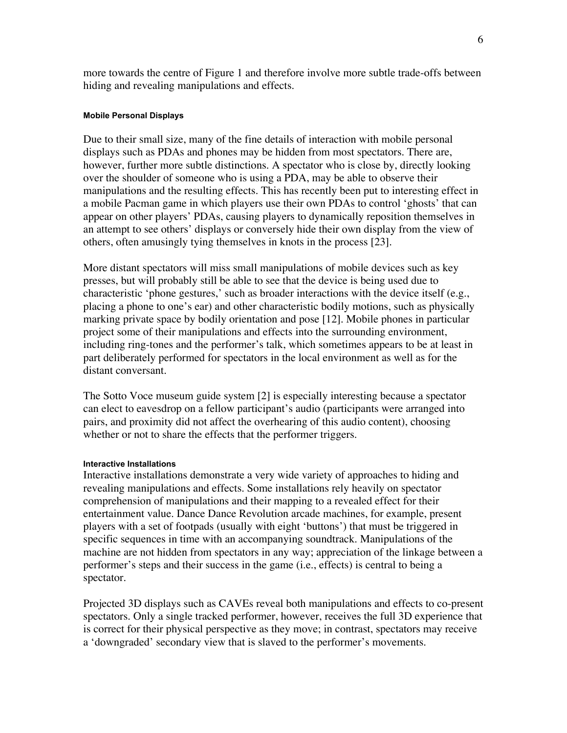more towards the centre of Figure 1 and therefore involve more subtle trade-offs between hiding and revealing manipulations and effects.

#### **Mobile Personal Displays**

Due to their small size, many of the fine details of interaction with mobile personal displays such as PDAs and phones may be hidden from most spectators. There are, however, further more subtle distinctions. A spectator who is close by, directly looking over the shoulder of someone who is using a PDA, may be able to observe their manipulations and the resulting effects. This has recently been put to interesting effect in a mobile Pacman game in which players use their own PDAs to control 'ghosts' that can appear on other players' PDAs, causing players to dynamically reposition themselves in an attempt to see others' displays or conversely hide their own display from the view of others, often amusingly tying themselves in knots in the process [23].

More distant spectators will miss small manipulations of mobile devices such as key presses, but will probably still be able to see that the device is being used due to characteristic 'phone gestures,' such as broader interactions with the device itself (e.g., placing a phone to one's ear) and other characteristic bodily motions, such as physically marking private space by bodily orientation and pose [12]. Mobile phones in particular project some of their manipulations and effects into the surrounding environment, including ring-tones and the performer's talk, which sometimes appears to be at least in part deliberately performed for spectators in the local environment as well as for the distant conversant.

The Sotto Voce museum guide system [2] is especially interesting because a spectator can elect to eavesdrop on a fellow participant's audio (participants were arranged into pairs, and proximity did not affect the overhearing of this audio content), choosing whether or not to share the effects that the performer triggers.

#### **Interactive Installations**

Interactive installations demonstrate a very wide variety of approaches to hiding and revealing manipulations and effects. Some installations rely heavily on spectator comprehension of manipulations and their mapping to a revealed effect for their entertainment value. Dance Dance Revolution arcade machines, for example, present players with a set of footpads (usually with eight 'buttons') that must be triggered in specific sequences in time with an accompanying soundtrack. Manipulations of the machine are not hidden from spectators in any way; appreciation of the linkage between a performer's steps and their success in the game (i.e., effects) is central to being a spectator.

Projected 3D displays such as CAVEs reveal both manipulations and effects to co-present spectators. Only a single tracked performer, however, receives the full 3D experience that is correct for their physical perspective as they move; in contrast, spectators may receive a 'downgraded' secondary view that is slaved to the performer's movements.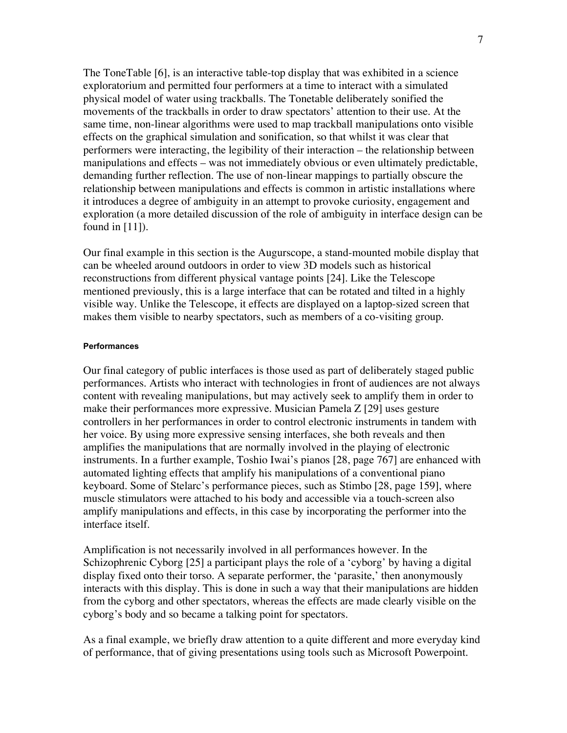The ToneTable [6], is an interactive table-top display that was exhibited in a science exploratorium and permitted four performers at a time to interact with a simulated physical model of water using trackballs. The Tonetable deliberately sonified the movements of the trackballs in order to draw spectators' attention to their use. At the same time, non-linear algorithms were used to map trackball manipulations onto visible effects on the graphical simulation and sonification, so that whilst it was clear that performers were interacting, the legibility of their interaction – the relationship between manipulations and effects – was not immediately obvious or even ultimately predictable, demanding further reflection. The use of non-linear mappings to partially obscure the relationship between manipulations and effects is common in artistic installations where it introduces a degree of ambiguity in an attempt to provoke curiosity, engagement and exploration (a more detailed discussion of the role of ambiguity in interface design can be found in [11]).

Our final example in this section is the Augurscope, a stand-mounted mobile display that can be wheeled around outdoors in order to view 3D models such as historical reconstructions from different physical vantage points [24]. Like the Telescope mentioned previously, this is a large interface that can be rotated and tilted in a highly visible way. Unlike the Telescope, it effects are displayed on a laptop-sized screen that makes them visible to nearby spectators, such as members of a co-visiting group.

### **Performances**

Our final category of public interfaces is those used as part of deliberately staged public performances. Artists who interact with technologies in front of audiences are not always content with revealing manipulations, but may actively seek to amplify them in order to make their performances more expressive. Musician Pamela Z [29] uses gesture controllers in her performances in order to control electronic instruments in tandem with her voice. By using more expressive sensing interfaces, she both reveals and then amplifies the manipulations that are normally involved in the playing of electronic instruments. In a further example, Toshio Iwai's pianos [28, page 767] are enhanced with automated lighting effects that amplify his manipulations of a conventional piano keyboard. Some of Stelarc's performance pieces, such as Stimbo [28, page 159], where muscle stimulators were attached to his body and accessible via a touch-screen also amplify manipulations and effects, in this case by incorporating the performer into the interface itself.

Amplification is not necessarily involved in all performances however. In the Schizophrenic Cyborg [25] a participant plays the role of a 'cyborg' by having a digital display fixed onto their torso. A separate performer, the 'parasite,' then anonymously interacts with this display. This is done in such a way that their manipulations are hidden from the cyborg and other spectators, whereas the effects are made clearly visible on the cyborg's body and so became a talking point for spectators.

As a final example, we briefly draw attention to a quite different and more everyday kind of performance, that of giving presentations using tools such as Microsoft Powerpoint.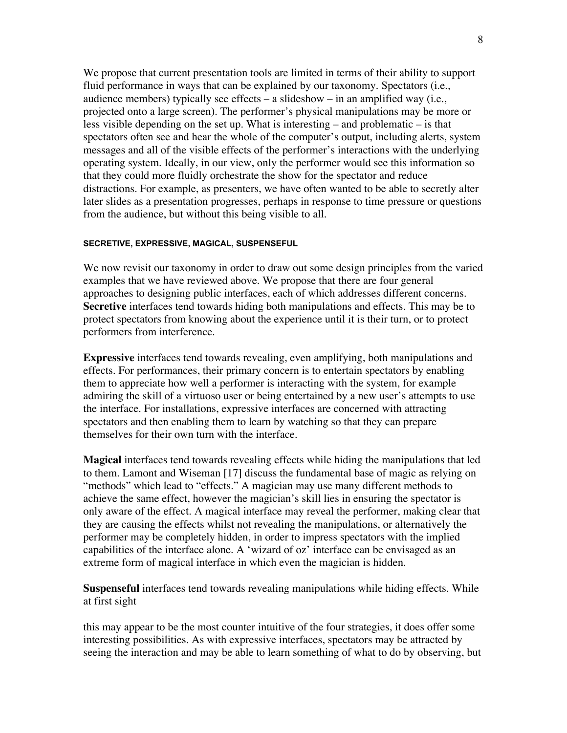We propose that current presentation tools are limited in terms of their ability to support fluid performance in ways that can be explained by our taxonomy. Spectators (i.e., audience members) typically see effects  $-$  a slideshow  $-$  in an amplified way (i.e., projected onto a large screen). The performer's physical manipulations may be more or less visible depending on the set up. What is interesting – and problematic – is that spectators often see and hear the whole of the computer's output, including alerts, system messages and all of the visible effects of the performer's interactions with the underlying operating system. Ideally, in our view, only the performer would see this information so that they could more fluidly orchestrate the show for the spectator and reduce distractions. For example, as presenters, we have often wanted to be able to secretly alter later slides as a presentation progresses, perhaps in response to time pressure or questions from the audience, but without this being visible to all.

## **SECRETIVE, EXPRESSIVE, MAGICAL, SUSPENSEFUL**

We now revisit our taxonomy in order to draw out some design principles from the varied examples that we have reviewed above. We propose that there are four general approaches to designing public interfaces, each of which addresses different concerns. **Secretive** interfaces tend towards hiding both manipulations and effects. This may be to protect spectators from knowing about the experience until it is their turn, or to protect performers from interference.

**Expressive** interfaces tend towards revealing, even amplifying, both manipulations and effects. For performances, their primary concern is to entertain spectators by enabling them to appreciate how well a performer is interacting with the system, for example admiring the skill of a virtuoso user or being entertained by a new user's attempts to use the interface. For installations, expressive interfaces are concerned with attracting spectators and then enabling them to learn by watching so that they can prepare themselves for their own turn with the interface.

**Magical** interfaces tend towards revealing effects while hiding the manipulations that led to them. Lamont and Wiseman [17] discuss the fundamental base of magic as relying on "methods" which lead to "effects." A magician may use many different methods to achieve the same effect, however the magician's skill lies in ensuring the spectator is only aware of the effect. A magical interface may reveal the performer, making clear that they are causing the effects whilst not revealing the manipulations, or alternatively the performer may be completely hidden, in order to impress spectators with the implied capabilities of the interface alone. A 'wizard of oz' interface can be envisaged as an extreme form of magical interface in which even the magician is hidden.

**Suspenseful** interfaces tend towards revealing manipulations while hiding effects. While at first sight

this may appear to be the most counter intuitive of the four strategies, it does offer some interesting possibilities. As with expressive interfaces, spectators may be attracted by seeing the interaction and may be able to learn something of what to do by observing, but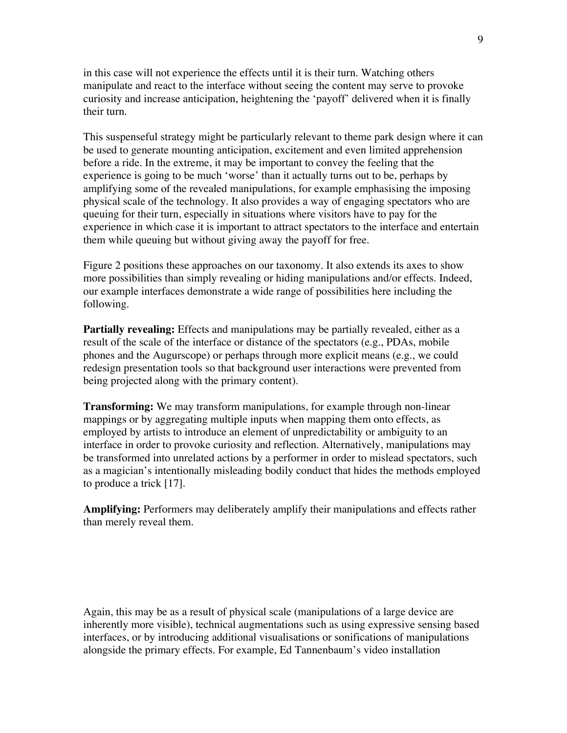in this case will not experience the effects until it is their turn. Watching others manipulate and react to the interface without seeing the content may serve to provoke curiosity and increase anticipation, heightening the 'payoff' delivered when it is finally their turn.

This suspenseful strategy might be particularly relevant to theme park design where it can be used to generate mounting anticipation, excitement and even limited apprehension before a ride. In the extreme, it may be important to convey the feeling that the experience is going to be much 'worse' than it actually turns out to be, perhaps by amplifying some of the revealed manipulations, for example emphasising the imposing physical scale of the technology. It also provides a way of engaging spectators who are queuing for their turn, especially in situations where visitors have to pay for the experience in which case it is important to attract spectators to the interface and entertain them while queuing but without giving away the payoff for free.

Figure 2 positions these approaches on our taxonomy. It also extends its axes to show more possibilities than simply revealing or hiding manipulations and/or effects. Indeed, our example interfaces demonstrate a wide range of possibilities here including the following.

**Partially revealing:** Effects and manipulations may be partially revealed, either as a result of the scale of the interface or distance of the spectators (e.g., PDAs, mobile phones and the Augurscope) or perhaps through more explicit means (e.g., we could redesign presentation tools so that background user interactions were prevented from being projected along with the primary content).

**Transforming:** We may transform manipulations, for example through non-linear mappings or by aggregating multiple inputs when mapping them onto effects, as employed by artists to introduce an element of unpredictability or ambiguity to an interface in order to provoke curiosity and reflection. Alternatively, manipulations may be transformed into unrelated actions by a performer in order to mislead spectators, such as a magician's intentionally misleading bodily conduct that hides the methods employed to produce a trick [17].

**Amplifying:** Performers may deliberately amplify their manipulations and effects rather than merely reveal them.

Again, this may be as a result of physical scale (manipulations of a large device are inherently more visible), technical augmentations such as using expressive sensing based interfaces, or by introducing additional visualisations or sonifications of manipulations alongside the primary effects. For example, Ed Tannenbaum's video installation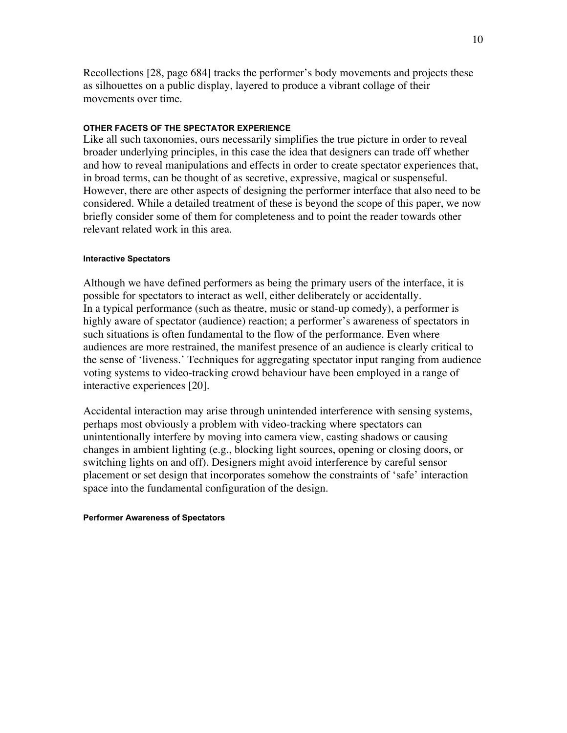Recollections [28, page 684] tracks the performer's body movements and projects these as silhouettes on a public display, layered to produce a vibrant collage of their movements over time.

# **OTHER FACETS OF THE SPECTATOR EXPERIENCE**

Like all such taxonomies, ours necessarily simplifies the true picture in order to reveal broader underlying principles, in this case the idea that designers can trade off whether and how to reveal manipulations and effects in order to create spectator experiences that, in broad terms, can be thought of as secretive, expressive, magical or suspenseful. However, there are other aspects of designing the performer interface that also need to be considered. While a detailed treatment of these is beyond the scope of this paper, we now briefly consider some of them for completeness and to point the reader towards other relevant related work in this area.

# **Interactive Spectators**

Although we have defined performers as being the primary users of the interface, it is possible for spectators to interact as well, either deliberately or accidentally. In a typical performance (such as theatre, music or stand-up comedy), a performer is highly aware of spectator (audience) reaction; a performer's awareness of spectators in such situations is often fundamental to the flow of the performance. Even where audiences are more restrained, the manifest presence of an audience is clearly critical to the sense of 'liveness.' Techniques for aggregating spectator input ranging from audience voting systems to video-tracking crowd behaviour have been employed in a range of interactive experiences [20].

Accidental interaction may arise through unintended interference with sensing systems, perhaps most obviously a problem with video-tracking where spectators can unintentionally interfere by moving into camera view, casting shadows or causing changes in ambient lighting (e.g., blocking light sources, opening or closing doors, or switching lights on and off). Designers might avoid interference by careful sensor placement or set design that incorporates somehow the constraints of 'safe' interaction space into the fundamental configuration of the design.

# **Performer Awareness of Spectators**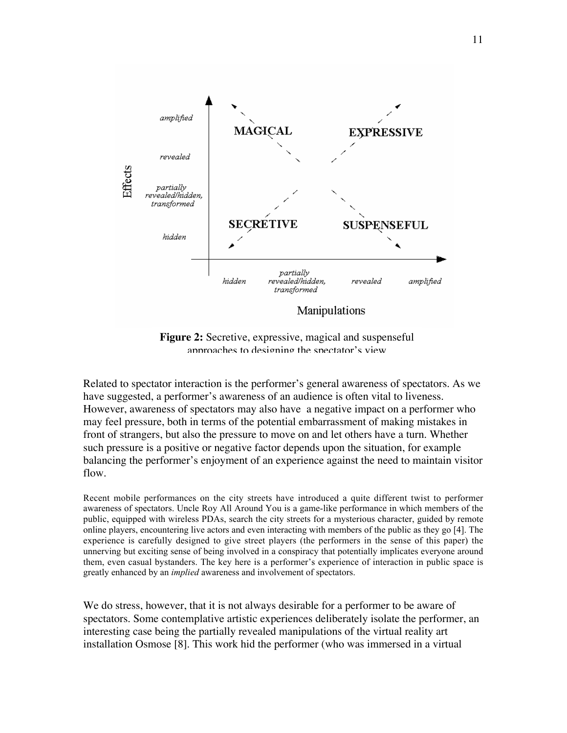

**Figure 2:** Secretive, expressive, magical and suspenseful approaches to designing the spectator's view

Related to spectator interaction is the performer's general awareness of spectators. As we have suggested, a performer's awareness of an audience is often vital to liveness. However, awareness of spectators may also have a negative impact on a performer who may feel pressure, both in terms of the potential embarrassment of making mistakes in front of strangers, but also the pressure to move on and let others have a turn. Whether such pressure is a positive or negative factor depends upon the situation, for example balancing the performer's enjoyment of an experience against the need to maintain visitor flow.

Recent mobile performances on the city streets have introduced a quite different twist to performer awareness of spectators. Uncle Roy All Around You is a game-like performance in which members of the public, equipped with wireless PDAs, search the city streets for a mysterious character, guided by remote online players, encountering live actors and even interacting with members of the public as they go [4]. The experience is carefully designed to give street players (the performers in the sense of this paper) the unnerving but exciting sense of being involved in a conspiracy that potentially implicates everyone around them, even casual bystanders. The key here is a performer's experience of interaction in public space is greatly enhanced by an *implied* awareness and involvement of spectators.

We do stress, however, that it is not always desirable for a performer to be aware of spectators. Some contemplative artistic experiences deliberately isolate the performer, an interesting case being the partially revealed manipulations of the virtual reality art installation Osmose [8]. This work hid the performer (who was immersed in a virtual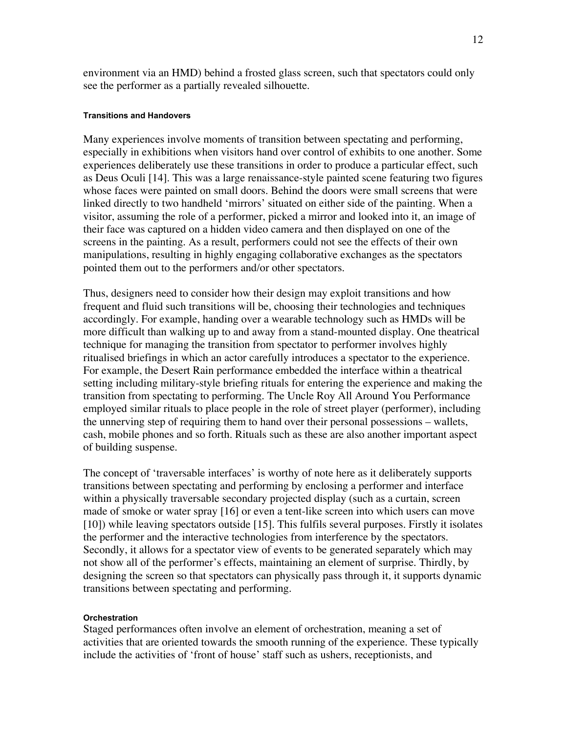environment via an HMD) behind a frosted glass screen, such that spectators could only see the performer as a partially revealed silhouette.

### **Transitions and Handovers**

Many experiences involve moments of transition between spectating and performing, especially in exhibitions when visitors hand over control of exhibits to one another. Some experiences deliberately use these transitions in order to produce a particular effect, such as Deus Oculi [14]. This was a large renaissance-style painted scene featuring two figures whose faces were painted on small doors. Behind the doors were small screens that were linked directly to two handheld 'mirrors' situated on either side of the painting. When a visitor, assuming the role of a performer, picked a mirror and looked into it, an image of their face was captured on a hidden video camera and then displayed on one of the screens in the painting. As a result, performers could not see the effects of their own manipulations, resulting in highly engaging collaborative exchanges as the spectators pointed them out to the performers and/or other spectators.

Thus, designers need to consider how their design may exploit transitions and how frequent and fluid such transitions will be, choosing their technologies and techniques accordingly. For example, handing over a wearable technology such as HMDs will be more difficult than walking up to and away from a stand-mounted display. One theatrical technique for managing the transition from spectator to performer involves highly ritualised briefings in which an actor carefully introduces a spectator to the experience. For example, the Desert Rain performance embedded the interface within a theatrical setting including military-style briefing rituals for entering the experience and making the transition from spectating to performing. The Uncle Roy All Around You Performance employed similar rituals to place people in the role of street player (performer), including the unnerving step of requiring them to hand over their personal possessions – wallets, cash, mobile phones and so forth. Rituals such as these are also another important aspect of building suspense.

The concept of 'traversable interfaces' is worthy of note here as it deliberately supports transitions between spectating and performing by enclosing a performer and interface within a physically traversable secondary projected display (such as a curtain, screen made of smoke or water spray [16] or even a tent-like screen into which users can move [10]) while leaving spectators outside [15]. This fulfils several purposes. Firstly it isolates the performer and the interactive technologies from interference by the spectators. Secondly, it allows for a spectator view of events to be generated separately which may not show all of the performer's effects, maintaining an element of surprise. Thirdly, by designing the screen so that spectators can physically pass through it, it supports dynamic transitions between spectating and performing.

#### **Orchestration**

Staged performances often involve an element of orchestration, meaning a set of activities that are oriented towards the smooth running of the experience. These typically include the activities of 'front of house' staff such as ushers, receptionists, and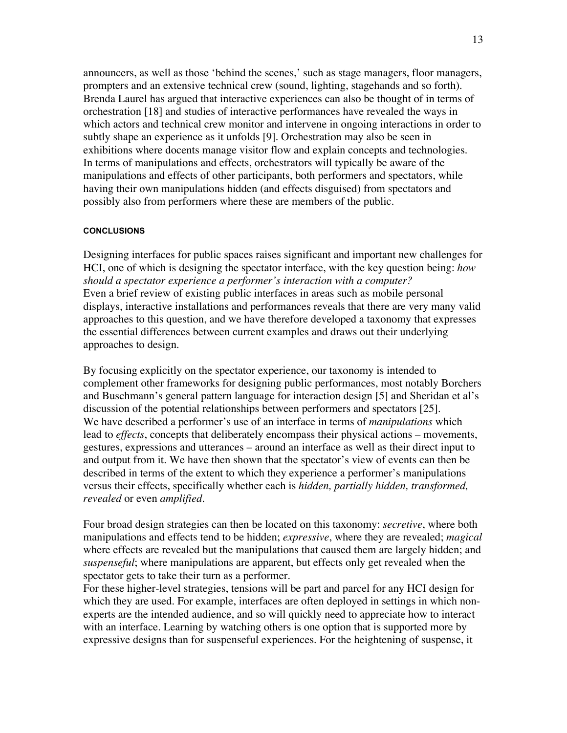announcers, as well as those 'behind the scenes,' such as stage managers, floor managers, prompters and an extensive technical crew (sound, lighting, stagehands and so forth). Brenda Laurel has argued that interactive experiences can also be thought of in terms of orchestration [18] and studies of interactive performances have revealed the ways in which actors and technical crew monitor and intervene in ongoing interactions in order to subtly shape an experience as it unfolds [9]. Orchestration may also be seen in exhibitions where docents manage visitor flow and explain concepts and technologies. In terms of manipulations and effects, orchestrators will typically be aware of the manipulations and effects of other participants, both performers and spectators, while having their own manipulations hidden (and effects disguised) from spectators and possibly also from performers where these are members of the public.

# **CONCLUSIONS**

Designing interfaces for public spaces raises significant and important new challenges for HCI, one of which is designing the spectator interface, with the key question being: *how should a spectator experience a performer's interaction with a computer?* Even a brief review of existing public interfaces in areas such as mobile personal displays, interactive installations and performances reveals that there are very many valid approaches to this question, and we have therefore developed a taxonomy that expresses the essential differences between current examples and draws out their underlying approaches to design.

By focusing explicitly on the spectator experience, our taxonomy is intended to complement other frameworks for designing public performances, most notably Borchers and Buschmann's general pattern language for interaction design [5] and Sheridan et al's discussion of the potential relationships between performers and spectators [25]. We have described a performer's use of an interface in terms of *manipulations* which lead to *effects*, concepts that deliberately encompass their physical actions – movements, gestures, expressions and utterances – around an interface as well as their direct input to and output from it. We have then shown that the spectator's view of events can then be described in terms of the extent to which they experience a performer's manipulations versus their effects, specifically whether each is *hidden, partially hidden, transformed, revealed* or even *amplified*.

Four broad design strategies can then be located on this taxonomy: *secretive*, where both manipulations and effects tend to be hidden; *expressive*, where they are revealed; *magical* where effects are revealed but the manipulations that caused them are largely hidden; and *suspenseful*; where manipulations are apparent, but effects only get revealed when the spectator gets to take their turn as a performer.

For these higher-level strategies, tensions will be part and parcel for any HCI design for which they are used. For example, interfaces are often deployed in settings in which nonexperts are the intended audience, and so will quickly need to appreciate how to interact with an interface. Learning by watching others is one option that is supported more by expressive designs than for suspenseful experiences. For the heightening of suspense, it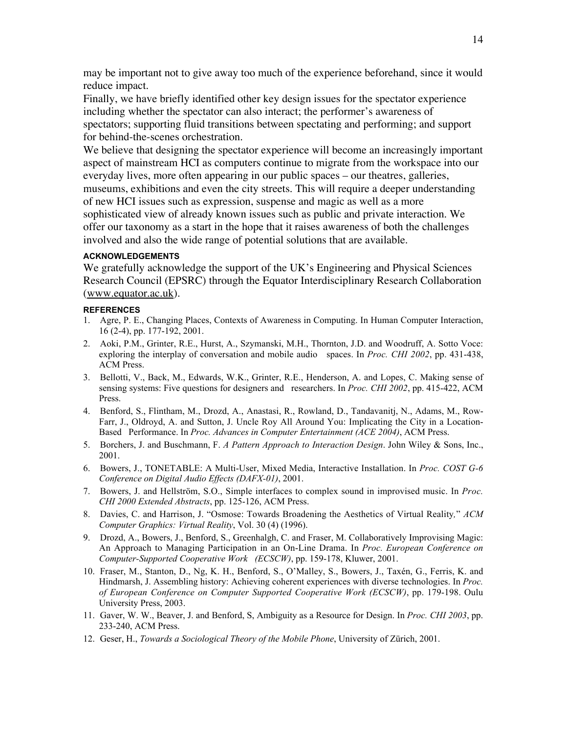may be important not to give away too much of the experience beforehand, since it would reduce impact.

Finally, we have briefly identified other key design issues for the spectator experience including whether the spectator can also interact; the performer's awareness of spectators; supporting fluid transitions between spectating and performing; and support for behind-the-scenes orchestration.

We believe that designing the spectator experience will become an increasingly important aspect of mainstream HCI as computers continue to migrate from the workspace into our everyday lives, more often appearing in our public spaces – our theatres, galleries, museums, exhibitions and even the city streets. This will require a deeper understanding of new HCI issues such as expression, suspense and magic as well as a more sophisticated view of already known issues such as public and private interaction. We offer our taxonomy as a start in the hope that it raises awareness of both the challenges involved and also the wide range of potential solutions that are available.

# **ACKNOWLEDGEMENTS**

We gratefully acknowledge the support of the UK's Engineering and Physical Sciences Research Council (EPSRC) through the Equator Interdisciplinary Research Collaboration (www.equator.ac.uk).

# **REFERENCES**

- 1. Agre, P. E., Changing Places, Contexts of Awareness in Computing. In Human Computer Interaction, 16 (2-4), pp. 177-192, 2001.
- 2. Aoki, P.M., Grinter, R.E., Hurst, A., Szymanski, M.H., Thornton, J.D. and Woodruff, A. Sotto Voce: exploring the interplay of conversation and mobile audio spaces. In *Proc. CHI 2002*, pp. 431-438, ACM Press.
- 3. Bellotti, V., Back, M., Edwards, W.K., Grinter, R.E., Henderson, A. and Lopes, C. Making sense of sensing systems: Five questions for designers and researchers. In *Proc. CHI 2002*, pp. 415-422, ACM Press.
- 4. Benford, S., Flintham, M., Drozd, A., Anastasi, R., Rowland, D., Tandavanitj, N., Adams, M., Row-Farr, J., Oldroyd, A. and Sutton, J. Uncle Roy All Around You: Implicating the City in a Location-Based Performance. In *Proc. Advances in Computer Entertainment (ACE 2004)*, ACM Press.
- 5. Borchers, J. and Buschmann, F. *A Pattern Approach to Interaction Design*. John Wiley & Sons, Inc., 2001.
- 6. Bowers, J., TONETABLE: A Multi-User, Mixed Media, Interactive Installation. In *Proc. COST G-6 Conference on Digital Audio Effects (DAFX-01)*, 2001.
- 7. Bowers, J. and Hellström, S.O., Simple interfaces to complex sound in improvised music. In *Proc. CHI 2000 Extended Abstracts*, pp. 125-126, ACM Press.
- 8. Davies, C. and Harrison, J. "Osmose: Towards Broadening the Aesthetics of Virtual Reality*,*" *ACM Computer Graphics: Virtual Reality*, Vol. 30 (4) (1996).
- 9. Drozd, A., Bowers, J., Benford, S., Greenhalgh, C. and Fraser, M. Collaboratively Improvising Magic: An Approach to Managing Participation in an On-Line Drama. In *Proc. European Conference on Computer-Supported Cooperative Work (ECSCW)*, pp. 159-178, Kluwer, 2001.
- 10. Fraser, M., Stanton, D., Ng, K. H., Benford, S., O'Malley, S., Bowers, J., Taxén, G., Ferris, K. and Hindmarsh, J. Assembling history: Achieving coherent experiences with diverse technologies. In *Proc. of European Conference on Computer Supported Cooperative Work (ECSCW)*, pp. 179-198. Oulu University Press, 2003.
- 11. Gaver, W. W., Beaver, J. and Benford, S, Ambiguity as a Resource for Design. In *Proc. CHI 2003*, pp. 233-240, ACM Press.
- 12. Geser, H., *Towards a Sociological Theory of the Mobile Phone*, University of Zürich, 2001.